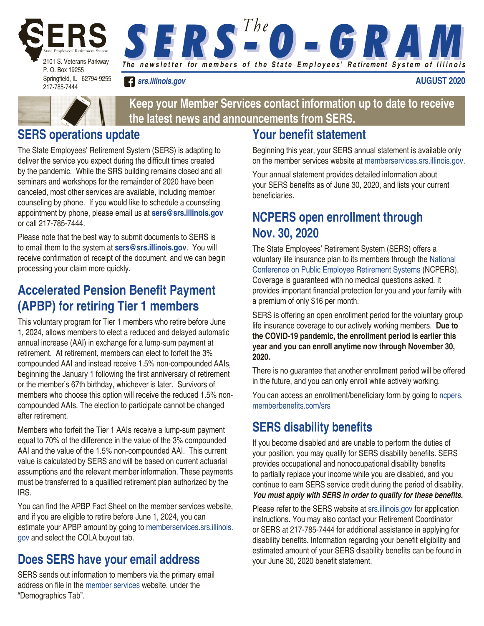

**S E R S <sup>The</sup> O - G R AM** 

*[srs.illinois.gov](https://srs.illinois.gov)*

**AUGUST 2020**



**Keep your Member Services contact information up to date to receive the latest news and announcements from SERS.**

# **SERS operations update**

The State Employees' Retirement System (SERS) is adapting to deliver the service you expect during the difficult times created by the pandemic. While the SRS building remains closed and all seminars and workshops for the remainder of 2020 have been canceled, most other services are available, including member counseling by phone. If you would like to schedule a counseling appointment by phone, please email us at **[sers@srs.illinois.gov](mailto:sers@srs.illinois.gov)** or call 217-785-7444.

Please note that the best way to submit documents to SERS is to email them to the system at **[sers@srs.illinois.gov](mailto:sers@srs.illinois.gov)**. You will receive confirmation of receipt of the document, and we can begin processing your claim more quickly.

# **Accelerated Pension Benefit Payment (APBP) for retiring Tier 1 members**

This voluntary program for Tier 1 members who retire before June 1, 2024, allows members to elect a reduced and delayed automatic annual increase (AAI) in exchange for a lump-sum payment at retirement. At retirement, members can elect to forfeit the 3% compounded AAI and instead receive 1.5% non-compounded AAIs, beginning the January 1 following the first anniversary of retirement or the member's 67th birthday, whichever is later. Survivors of members who choose this option will receive the reduced 1.5% noncompounded AAIs. The election to participate cannot be changed after retirement.

Members who forfeit the Tier 1 AAIs receive a lump-sum payment equal to 70% of the difference in the value of the 3% compounded AAI and the value of the 1.5% non-compounded AAI. This current value is calculated by SERS and will be based on current actuarial assumptions and the relevant member information. These payments must be transferred to a qualified retirement plan authorized by the IRS.

You can find the APBP Fact Sheet on the member services website, and if you are eligible to retire before June 1, 2024, you can estimate your APBP amount by going to [memberservices.srs.illinois.](https://memberservices.srs.illinois.gov) [gov](https://memberservices.srs.illinois.gov) and select the COLA buyout tab.

# **Does SERS have your email address**

SERS sends out information to members via the primary email address on file in the [member services](https://memberservices.srs.illinois.gov) website, under the "Demographics Tab".

# **Your benefit statement**

Beginning this year, your SERS annual statement is available only on the member services website at [memberservices.srs.illinois.gov.](https://www.memberservices.srs.illinois.gov) 

Your annual statement provides detailed information about your SERS benefits as of June 30, 2020, and lists your current beneficiaries.

# **NCPERS open enrollment through Nov. 30, 2020**

The State Employees' Retirement System (SERS) offers a voluntary life insurance plan to its members through the [National](https://ncpers.memberbenefits.com/srs)  [Conference on Public Employee Retirement Systems](https://ncpers.memberbenefits.com/srs) (NCPERS). Coverage is guaranteed with no medical questions asked. It provides important financial protection for you and your family with a premium of only \$16 per month.

SERS is offering an open enrollment period for the voluntary group life insurance coverage to our actively working members. **Due to the COVID-19 pandemic, the enrollment period is earlier this year and you can enroll anytime now through November 30, 2020.**

There is no guarantee that another enrollment period will be offered in the future, and you can only enroll while actively working.

You can access an enrollment/beneficiary form by going to [ncpers.](https://ncpers.memberbenefits.com/srs) [memberbenefits.com/srs](https://ncpers.memberbenefits.com/srs)

# **SERS disability benefits**

If you become disabled and are unable to perform the duties of your position, you may qualify for SERS disability benefits. SERS provides occupational and nonoccupational disability benefits to partially replace your income while you are disabled, and you continue to earn SERS service credit during the period of disability. **You must apply with SERS in order to qualify for these benefits.**

Please refer to the SERS website at [srs.illinois.gov](https://srs.illinois.gov) for application instructions. You may also contact your Retirement Coordinator or SERS at 217-785-7444 for additional assistance in applying for disability benefits. Information regarding your benefit eligibility and estimated amount of your SERS disability benefits can be found in your June 30, 2020 benefit statement.